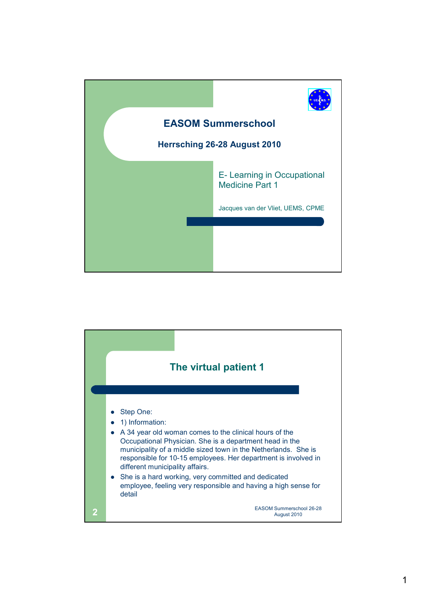

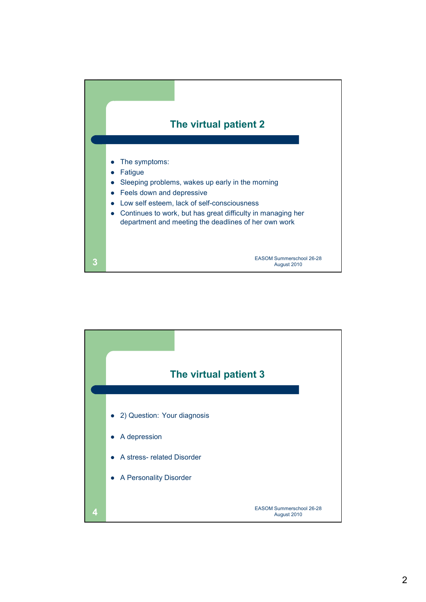

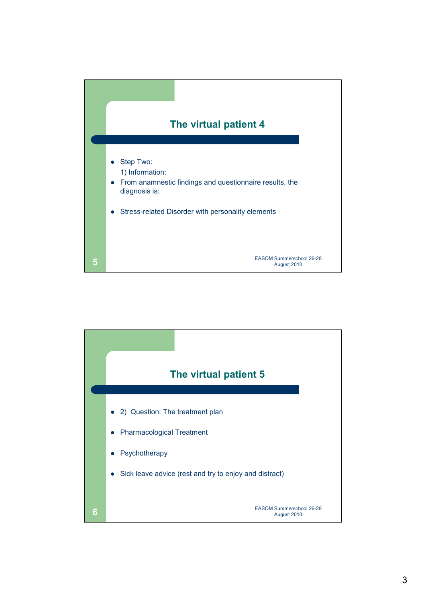

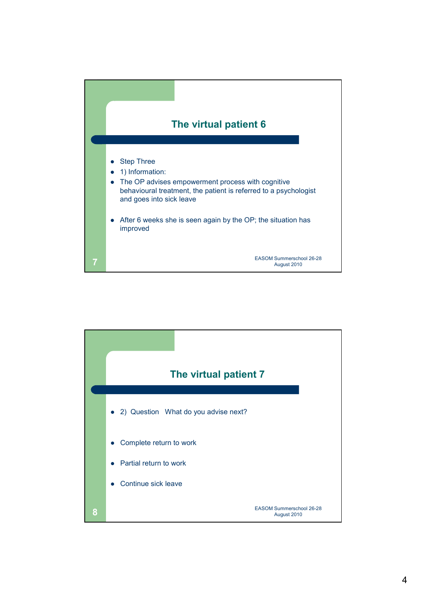

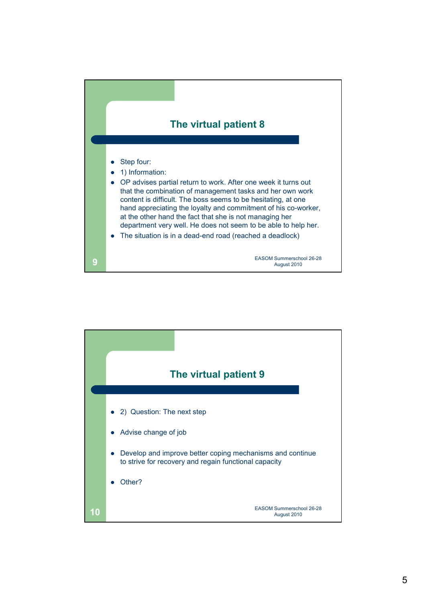

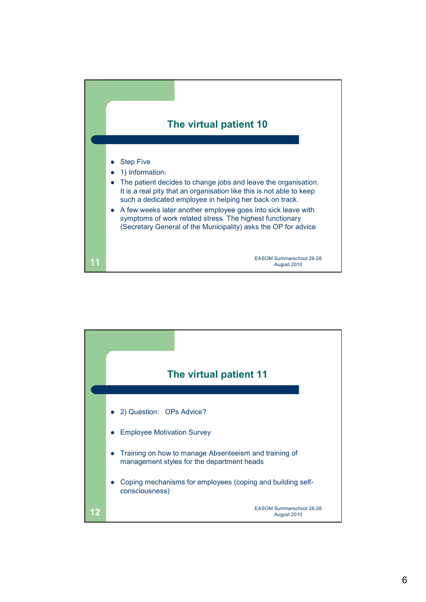

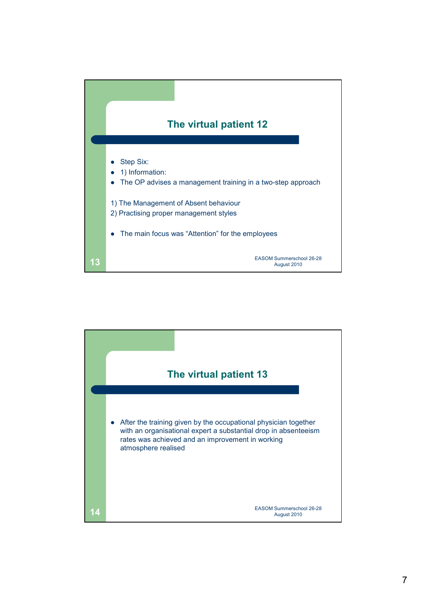